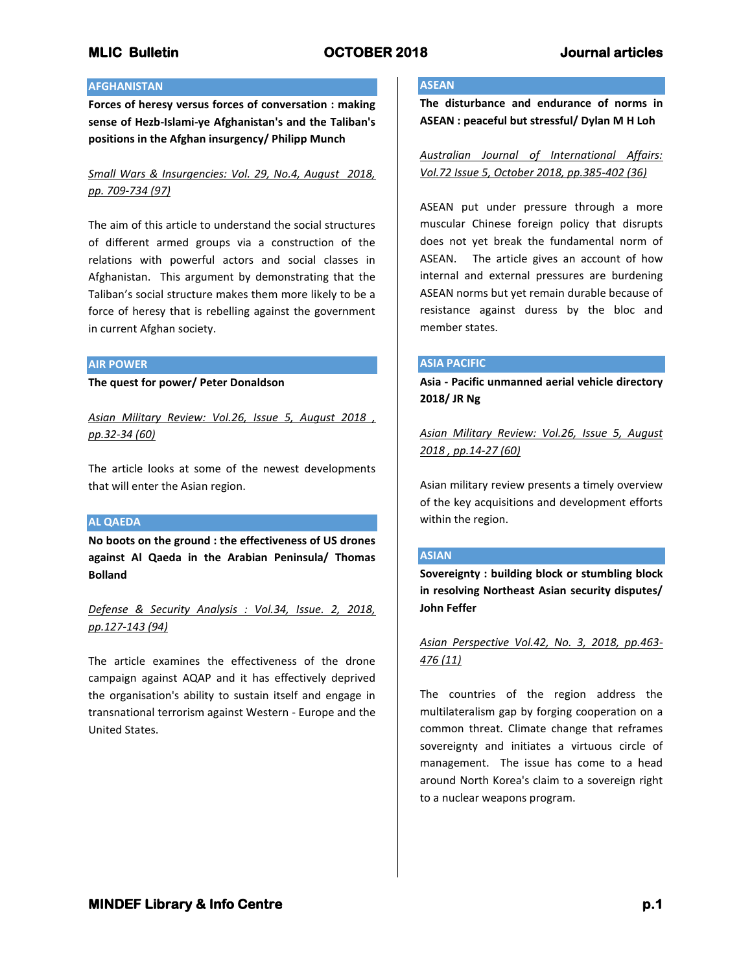## **AFGHANISTAN**

**Forces of heresy versus forces of conversation : making sense of Hezb-Islami-ye Afghanistan's and the Taliban's positions in the Afghan insurgency/ Philipp Munch**

# *Small Wars & Insurgencies: Vol. 29, No.4, August 2018, pp. 709-734 (97)*

The aim of this article to understand the social structures of different armed groups via a construction of the relations with powerful actors and social classes in Afghanistan. This argument by demonstrating that the Taliban's social structure makes them more likely to be a force of heresy that is rebelling against the government in current Afghan society.

## **AIR POWER**

**The quest for power/ Peter Donaldson**

*Asian Military Review: Vol.26, Issue 5, August 2018 , pp.32-34 (60)*

The article looks at some of the newest developments that will enter the Asian region.

## **AL QAEDA**

**No boots on the ground : the effectiveness of US drones against Al Qaeda in the Arabian Peninsula/ Thomas Bolland**

*Defense & Security Analysis : Vol.34, Issue. 2, 2018, pp.127-143 (94)*

The article examines the effectiveness of the drone campaign against AQAP and it has effectively deprived the organisation's ability to sustain itself and engage in transnational terrorism against Western - Europe and the United States.

# **ASEAN**

**The disturbance and endurance of norms in ASEAN : peaceful but stressful/ Dylan M H Loh**

*Australian Journal of International Affairs: Vol.72 Issue 5, October 2018, pp.385-402 (36)*

ASEAN put under pressure through a more muscular Chinese foreign policy that disrupts does not yet break the fundamental norm of ASEAN. The article gives an account of how internal and external pressures are burdening ASEAN norms but yet remain durable because of resistance against duress by the bloc and member states.

## **ASIA PACIFIC**

**Asia - Pacific unmanned aerial vehicle directory 2018/ JR Ng**

*Asian Military Review: Vol.26, Issue 5, August 2018 , pp.14-27 (60)*

Asian military review presents a timely overview of the key acquisitions and development efforts within the region.

## **ASIAN**

**Sovereignty : building block or stumbling block in resolving Northeast Asian security disputes/ John Feffer**

*Asian Perspective Vol.42, No. 3, 2018, pp.463- 476 (11)*

The countries of the region address the multilateralism gap by forging cooperation on a common threat. Climate change that reframes sovereignty and initiates a virtuous circle of management. The issue has come to a head around North Korea's claim to a sovereign right to a nuclear weapons program.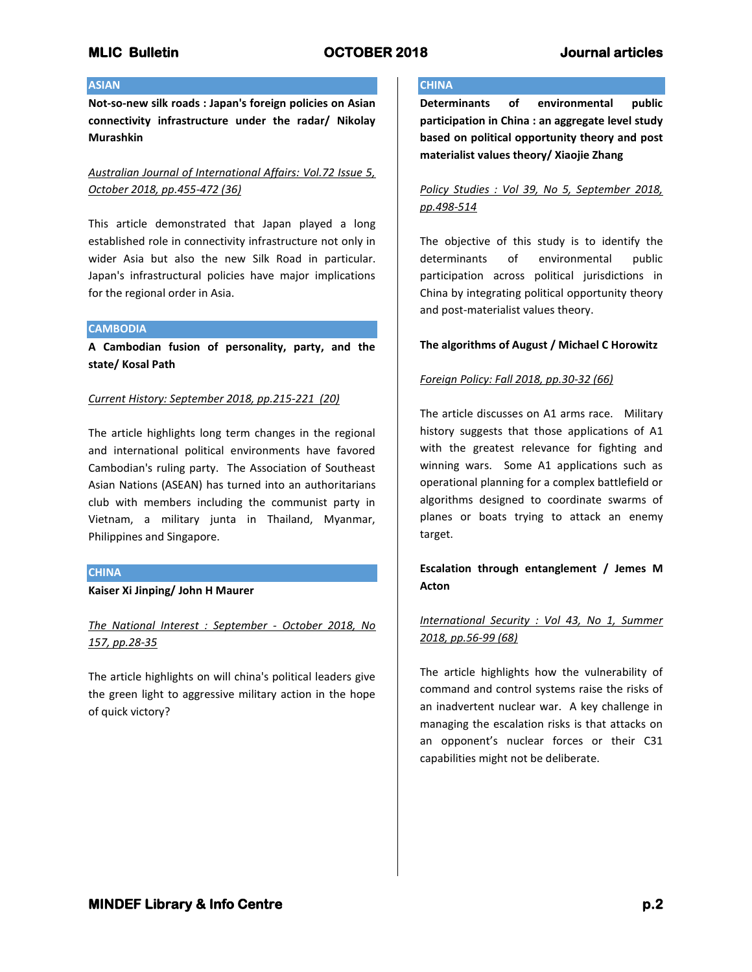## **ASIAN**

**Not-so-new silk roads : Japan's foreign policies on Asian connectivity infrastructure under the radar/ Nikolay Murashkin**

# *Australian Journal of International Affairs: Vol.72 Issue 5, October 2018, pp.455-472 (36)*

This article demonstrated that Japan played a long established role in connectivity infrastructure not only in wider Asia but also the new Silk Road in particular. Japan's infrastructural policies have major implications for the regional order in Asia.

### **CAMBODIA**

**A Cambodian fusion of personality, party, and the state/ Kosal Path**

### *Current History: September 2018, pp.215-221 (20)*

The article highlights long term changes in the regional and international political environments have favored Cambodian's ruling party. The Association of Southeast Asian Nations (ASEAN) has turned into an authoritarians club with members including the communist party in Vietnam, a military junta in Thailand, Myanmar, Philippines and Singapore.

## **CHINA**

## **Kaiser Xi Jinping/ John H Maurer**

*The National Interest : September - October 2018, No 157, pp.28-35*

The article highlights on will china's political leaders give the green light to aggressive military action in the hope of quick victory?

# **CHINA**

**Determinants of environmental public participation in China : an aggregate level study based on political opportunity theory and post materialist values theory/ Xiaojie Zhang**

# *Policy Studies : Vol 39, No 5, September 2018, pp.498-514*

The objective of this study is to identify the determinants of environmental public participation across political jurisdictions in China by integrating political opportunity theory and post-materialist values theory.

## **The algorithms of August / Michael C Horowitz**

## *Foreign Policy: Fall 2018, pp.30-32 (66)*

The article discusses on A1 arms race. Military history suggests that those applications of A1 with the greatest relevance for fighting and winning wars. Some A1 applications such as operational planning for a complex battlefield or algorithms designed to coordinate swarms of planes or boats trying to attack an enemy target.

# **Escalation through entanglement / Jemes M Acton**

# *International Security : Vol 43, No 1, Summer 2018, pp.56-99 (68)*

The article highlights how the vulnerability of command and control systems raise the risks of an inadvertent nuclear war. A key challenge in managing the escalation risks is that attacks on an opponent's nuclear forces or their C31 capabilities might not be deliberate.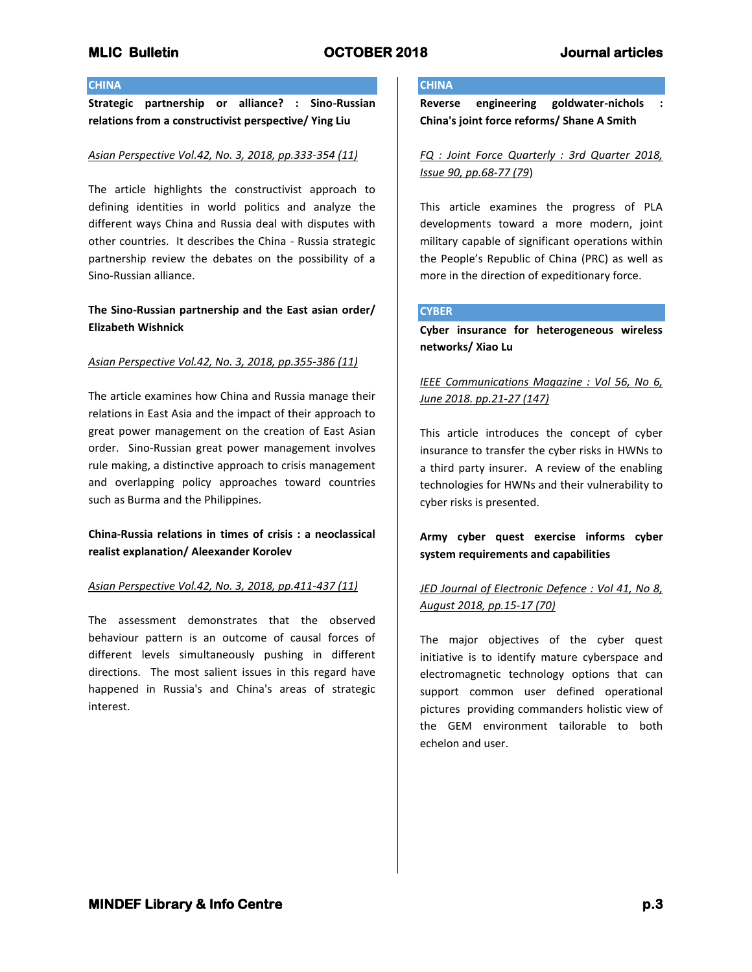## **CHINA**

**Strategic partnership or alliance? : Sino-Russian relations from a constructivist perspective/ Ying Liu**

### *Asian Perspective Vol.42, No. 3, 2018, pp.333-354 (11)*

The article highlights the constructivist approach to defining identities in world politics and analyze the different ways China and Russia deal with disputes with other countries. It describes the China - Russia strategic partnership review the debates on the possibility of a Sino-Russian alliance.

# **The Sino-Russian partnership and the East asian order/ Elizabeth Wishnick**

#### *Asian Perspective Vol.42, No. 3, 2018, pp.355-386 (11)*

The article examines how China and Russia manage their relations in East Asia and the impact of their approach to great power management on the creation of East Asian order. Sino-Russian great power management involves rule making, a distinctive approach to crisis management and overlapping policy approaches toward countries such as Burma and the Philippines.

# **China-Russia relations in times of crisis : a neoclassical realist explanation/ Aleexander Korolev**

### *Asian Perspective Vol.42, No. 3, 2018, pp.411-437 (11)*

The assessment demonstrates that the observed behaviour pattern is an outcome of causal forces of different levels simultaneously pushing in different directions. The most salient issues in this regard have happened in Russia's and China's areas of strategic interest.

#### **CHINA**

**Reverse engineering goldwater-nichols : China's joint force reforms/ Shane A Smith**

*FQ : Joint Force Quarterly : 3rd Quarter 2018, Issue 90, pp.68-77 (79*)

This article examines the progress of PLA developments toward a more modern, joint military capable of significant operations within the People's Republic of China (PRC) as well as more in the direction of expeditionary force.

## **CYBER**

**Cyber insurance for heterogeneous wireless networks/ Xiao Lu**

# *IEEE Communications Magazine : Vol 56, No 6, June 2018. pp.21-27 (147)*

This article introduces the concept of cyber insurance to transfer the cyber risks in HWNs to a third party insurer. A review of the enabling technologies for HWNs and their vulnerability to cyber risks is presented.

# **Army cyber quest exercise informs cyber system requirements and capabilities**

# *JED Journal of Electronic Defence : Vol 41, No 8, August 2018, pp.15-17 (70)*

The major objectives of the cyber quest initiative is to identify mature cyberspace and electromagnetic technology options that can support common user defined operational pictures providing commanders holistic view of the GEM environment tailorable to both echelon and user.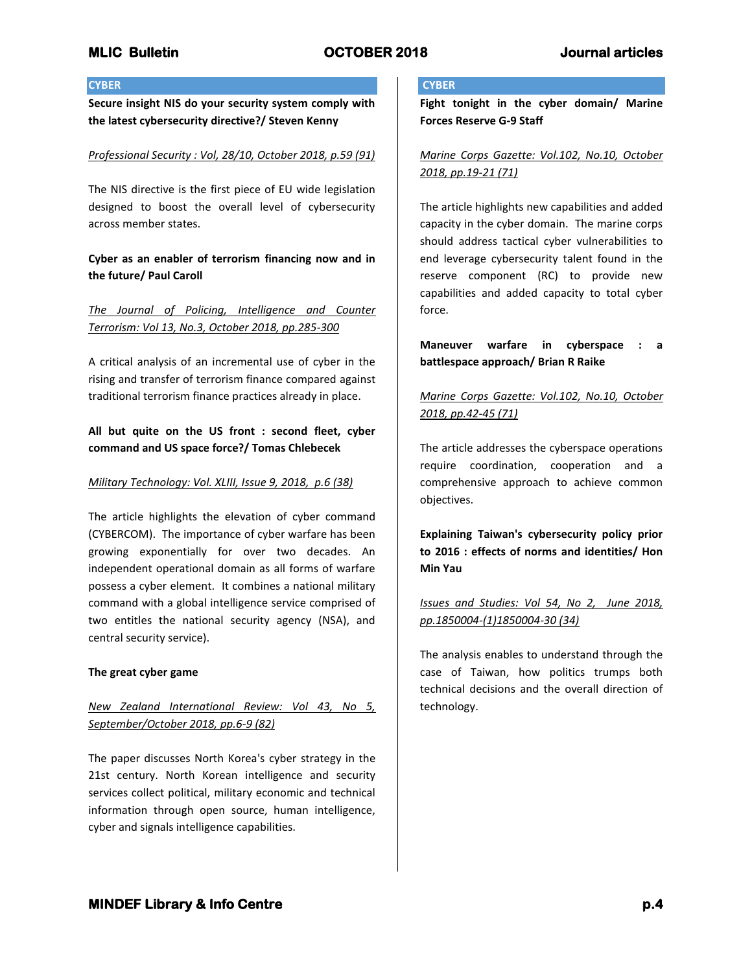## **CYBER**

**Secure insight NIS do your security system comply with the latest cybersecurity directive?/ Steven Kenny**

## *Professional Security : Vol, 28/10, October 2018, p.59 (91)*

The NIS directive is the first piece of EU wide legislation designed to boost the overall level of cybersecurity across member states.

# **Cyber as an enabler of terrorism financing now and in the future/ Paul Caroll**

*The Journal of Policing, Intelligence and Counter Terrorism: Vol 13, No.3, October 2018, pp.285-300*

A critical analysis of an incremental use of cyber in the rising and transfer of terrorism finance compared against traditional terrorism finance practices already in place.

# **All but quite on the US front : second fleet, cyber command and US space force?/ Tomas Chlebecek**

## *Military Technology: Vol. XLIII, Issue 9, 2018, p.6 (38)*

The article highlights the elevation of cyber command (CYBERCOM). The importance of cyber warfare has been growing exponentially for over two decades. An independent operational domain as all forms of warfare possess a cyber element. It combines a national military command with a global intelligence service comprised of two entitles the national security agency (NSA), and central security service).

## **The great cyber game**

# *New Zealand International Review: Vol 43, No 5, September/October 2018, pp.6-9 (82)*

The paper discusses North Korea's cyber strategy in the 21st century. North Korean intelligence and security services collect political, military economic and technical information through open source, human intelligence, cyber and signals intelligence capabilities.

## **CYBER**

**Fight tonight in the cyber domain/ Marine Forces Reserve G-9 Staff**

*Marine Corps Gazette: Vol.102, No.10, October 2018, pp.19-21 (71)*

The article highlights new capabilities and added capacity in the cyber domain. The marine corps should address tactical cyber vulnerabilities to end leverage cybersecurity talent found in the reserve component (RC) to provide new capabilities and added capacity to total cyber force.

**Maneuver warfare in cyberspace : a battlespace approach/ Brian R Raike**

*Marine Corps Gazette: Vol.102, No.10, October 2018, pp.42-45 (71)*

The article addresses the cyberspace operations require coordination, cooperation and a comprehensive approach to achieve common objectives.

**Explaining Taiwan's cybersecurity policy prior to 2016 : effects of norms and identities/ Hon Min Yau**

# *Issues and Studies: Vol 54, No 2, June 2018, pp.1850004-(1)1850004-30 (34)*

The analysis enables to understand through the case of Taiwan, how politics trumps both technical decisions and the overall direction of technology.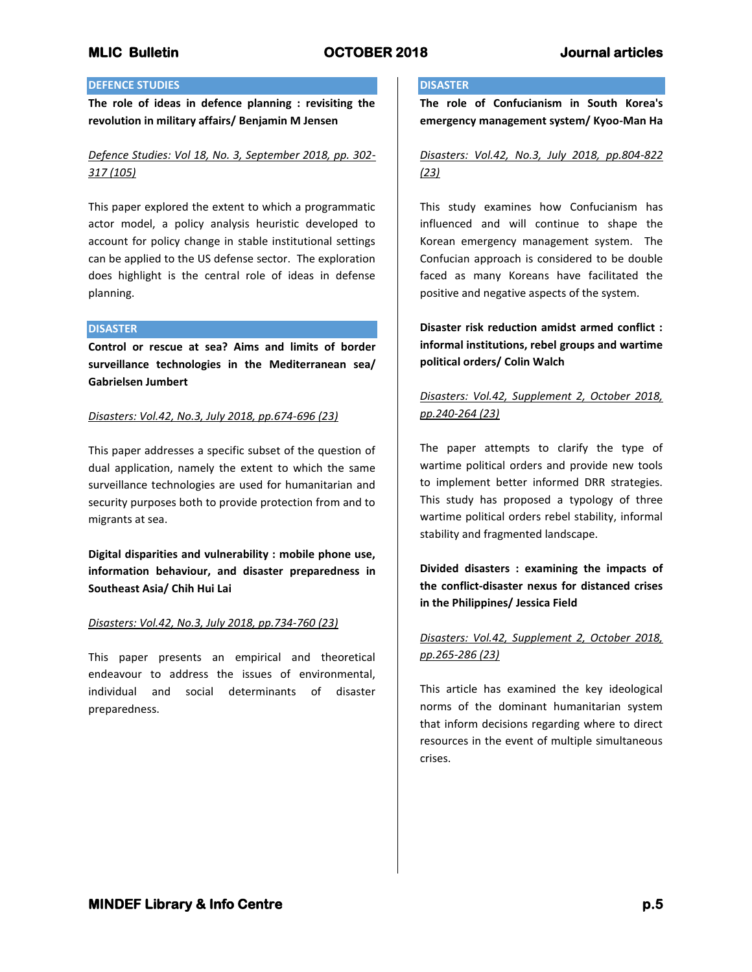## **DEFENCE STUDIES**

**The role of ideas in defence planning : revisiting the revolution in military affairs/ Benjamin M Jensen**

# *Defence Studies: Vol 18, No. 3, September 2018, pp. 302- 317 (105)*

This paper explored the extent to which a programmatic actor model, a policy analysis heuristic developed to account for policy change in stable institutional settings can be applied to the US defense sector. The exploration does highlight is the central role of ideas in defense planning.

## **DISASTER**

**Control or rescue at sea? Aims and limits of border surveillance technologies in the Mediterranean sea/ Gabrielsen Jumbert**

## *Disasters: Vol.42, No.3, July 2018, pp.674-696 (23)*

This paper addresses a specific subset of the question of dual application, namely the extent to which the same surveillance technologies are used for humanitarian and security purposes both to provide protection from and to migrants at sea.

**Digital disparities and vulnerability : mobile phone use, information behaviour, and disaster preparedness in Southeast Asia/ Chih Hui Lai**

## *Disasters: Vol.42, No.3, July 2018, pp.734-760 (23)*

This paper presents an empirical and theoretical endeavour to address the issues of environmental, individual and social determinants of disaster preparedness.

## **DISASTER**

**The role of Confucianism in South Korea's emergency management system/ Kyoo-Man Ha**

# *Disasters: Vol.42, No.3, July 2018, pp.804-822 (23)*

This study examines how Confucianism has influenced and will continue to shape the Korean emergency management system. The Confucian approach is considered to be double faced as many Koreans have facilitated the positive and negative aspects of the system.

**Disaster risk reduction amidst armed conflict : informal institutions, rebel groups and wartime political orders/ Colin Walch**

# *Disasters: Vol.42, Supplement 2, October 2018, pp.240-264 (23)*

The paper attempts to clarify the type of wartime political orders and provide new tools to implement better informed DRR strategies. This study has proposed a typology of three wartime political orders rebel stability, informal stability and fragmented landscape.

**Divided disasters : examining the impacts of the conflict-disaster nexus for distanced crises in the Philippines/ Jessica Field**

# *Disasters: Vol.42, Supplement 2, October 2018, pp.265-286 (23)*

This article has examined the key ideological norms of the dominant humanitarian system that inform decisions regarding where to direct resources in the event of multiple simultaneous crises.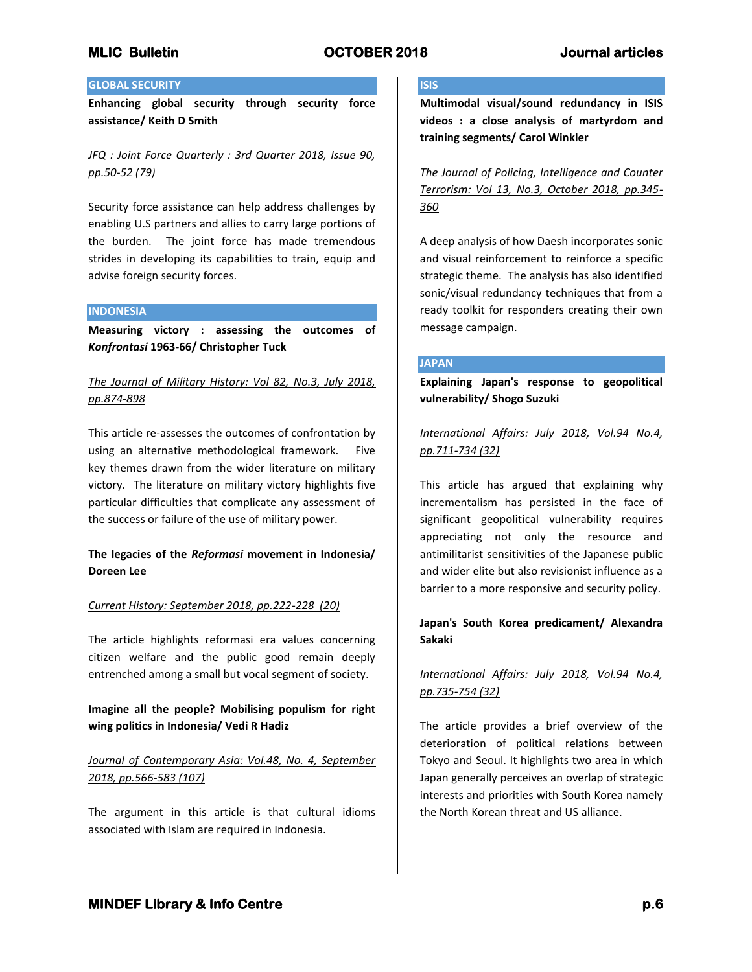## **GLOBAL SECURITY**

**Enhancing global security through security force assistance/ Keith D Smith**

*JFQ : Joint Force Quarterly : 3rd Quarter 2018, Issue 90, pp.50-52 (79)*

Security force assistance can help address challenges by enabling U.S partners and allies to carry large portions of the burden. The joint force has made tremendous strides in developing its capabilities to train, equip and advise foreign security forces.

## **INDONESIA**

**Measuring victory : assessing the outcomes of**  *Konfrontasi* **1963-66/ Christopher Tuck**

# *The Journal of Military History: Vol 82, No.3, July 2018, pp.874-898*

This article re-assesses the outcomes of confrontation by using an alternative methodological framework. Five key themes drawn from the wider literature on military victory. The literature on military victory highlights five particular difficulties that complicate any assessment of the success or failure of the use of military power.

# **The legacies of the** *Reformasi* **movement in Indonesia/ Doreen Lee**

## *Current History: September 2018, pp.222-228 (20)*

The article highlights reformasi era values concerning citizen welfare and the public good remain deeply entrenched among a small but vocal segment of society.

# **Imagine all the people? Mobilising populism for right wing politics in Indonesia/ Vedi R Hadiz**

# *Journal of Contemporary Asia: Vol.48, No. 4, September 2018, pp.566-583 (107)*

The argument in this article is that cultural idioms associated with Islam are required in Indonesia.

## **ISIS**

**Multimodal visual/sound redundancy in ISIS videos : a close analysis of martyrdom and training segments/ Carol Winkler**

*The Journal of Policing, Intelligence and Counter Terrorism: Vol 13, No.3, October 2018, pp.345- 360*

A deep analysis of how Daesh incorporates sonic and visual reinforcement to reinforce a specific strategic theme. The analysis has also identified sonic/visual redundancy techniques that from a ready toolkit for responders creating their own message campaign.

### **JAPAN**

**Explaining Japan's response to geopolitical vulnerability/ Shogo Suzuki**

*International Affairs: July 2018, Vol.94 No.4, pp.711-734 (32)*

This article has argued that explaining why incrementalism has persisted in the face of significant geopolitical vulnerability requires appreciating not only the resource and antimilitarist sensitivities of the Japanese public and wider elite but also revisionist influence as a barrier to a more responsive and security policy.

# **Japan's South Korea predicament/ Alexandra Sakaki**

# *International Affairs: July 2018, Vol.94 No.4, pp.735-754 (32)*

The article provides a brief overview of the deterioration of political relations between Tokyo and Seoul. It highlights two area in which Japan generally perceives an overlap of strategic interests and priorities with South Korea namely the North Korean threat and US alliance.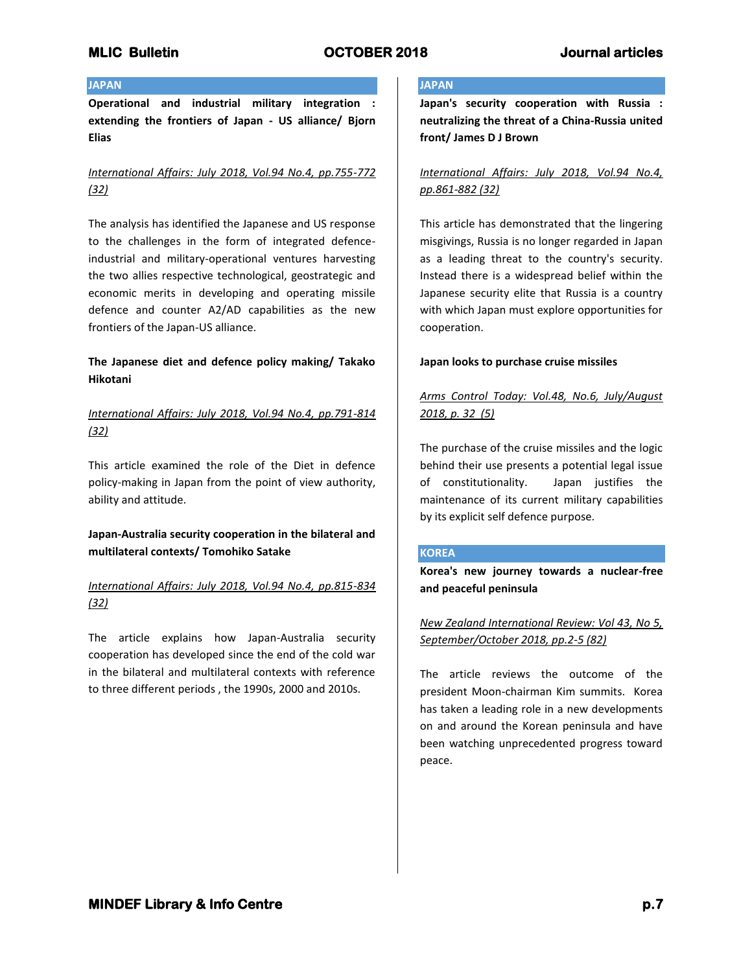## **JAPAN**

**Operational and industrial military integration : extending the frontiers of Japan - US alliance/ Bjorn Elias**

# *International Affairs: July 2018, Vol.94 No.4, pp.755-772 (32)*

The analysis has identified the Japanese and US response to the challenges in the form of integrated defenceindustrial and military-operational ventures harvesting the two allies respective technological, geostrategic and economic merits in developing and operating missile defence and counter A2/AD capabilities as the new frontiers of the Japan-US alliance.

# **The Japanese diet and defence policy making/ Takako Hikotani**

*International Affairs: July 2018, Vol.94 No.4, pp.791-814 (32)*

This article examined the role of the Diet in defence policy-making in Japan from the point of view authority, ability and attitude.

# **Japan-Australia security cooperation in the bilateral and multilateral contexts/ Tomohiko Satake**

# *International Affairs: July 2018, Vol.94 No.4, pp.815-834 (32)*

The article explains how Japan-Australia security cooperation has developed since the end of the cold war in the bilateral and multilateral contexts with reference to three different periods , the 1990s, 2000 and 2010s.

# **JAPAN**

**Japan's security cooperation with Russia : neutralizing the threat of a China-Russia united front/ James D J Brown**

# *International Affairs: July 2018, Vol.94 No.4, pp.861-882 (32)*

This article has demonstrated that the lingering misgivings, Russia is no longer regarded in Japan as a leading threat to the country's security. Instead there is a widespread belief within the Japanese security elite that Russia is a country with which Japan must explore opportunities for cooperation.

## **Japan looks to purchase cruise missiles**

# *Arms Control Today: Vol.48, No.6, July/August 2018, p. 32 (5)*

The purchase of the cruise missiles and the logic behind their use presents a potential legal issue of constitutionality. Japan justifies the maintenance of its current military capabilities by its explicit self defence purpose.

## **KOREA**

**Korea's new journey towards a nuclear-free and peaceful peninsula**

# *New Zealand International Review: Vol 43, No 5, September/October 2018, pp.2-5 (82)*

The article reviews the outcome of the president Moon-chairman Kim summits. Korea has taken a leading role in a new developments on and around the Korean peninsula and have been watching unprecedented progress toward peace.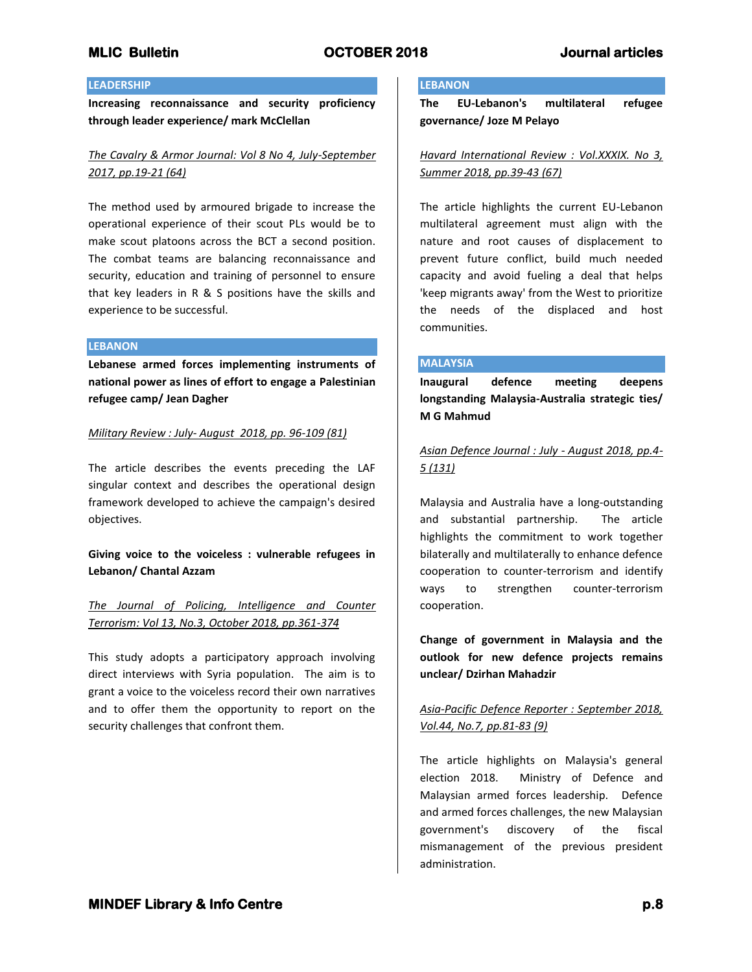## **LEADERSHIP**

**Increasing reconnaissance and security proficiency through leader experience/ mark McClellan**

# *The Cavalry & Armor Journal: Vol 8 No 4, July-September 2017, pp.19-21 (64)*

The method used by armoured brigade to increase the operational experience of their scout PLs would be to make scout platoons across the BCT a second position. The combat teams are balancing reconnaissance and security, education and training of personnel to ensure that key leaders in R & S positions have the skills and experience to be successful.

## **LEBANON**

**Lebanese armed forces implementing instruments of national power as lines of effort to engage a Palestinian refugee camp/ Jean Dagher**

### *Military Review : July- August 2018, pp. 96-109 (81)*

The article describes the events preceding the LAF singular context and describes the operational design framework developed to achieve the campaign's desired objectives.

# **Giving voice to the voiceless : vulnerable refugees in Lebanon/ Chantal Azzam**

*The Journal of Policing, Intelligence and Counter Terrorism: Vol 13, No.3, October 2018, pp.361-374*

This study adopts a participatory approach involving direct interviews with Syria population. The aim is to grant a voice to the voiceless record their own narratives and to offer them the opportunity to report on the security challenges that confront them.

## **LEBANON**

**The EU-Lebanon's multilateral refugee governance/ Joze M Pelayo**

*Havard International Review : Vol.XXXIX. No 3, Summer 2018, pp.39-43 (67)*

The article highlights the current EU-Lebanon multilateral agreement must align with the nature and root causes of displacement to prevent future conflict, build much needed capacity and avoid fueling a deal that helps 'keep migrants away' from the West to prioritize the needs of the displaced and host communities.

### **MALAYSIA**

**Inaugural defence meeting deepens longstanding Malaysia-Australia strategic ties/ M G Mahmud**

*Asian Defence Journal : July - August 2018, pp.4- 5 (131)*

Malaysia and Australia have a long-outstanding and substantial partnership. The article highlights the commitment to work together bilaterally and multilaterally to enhance defence cooperation to counter-terrorism and identify ways to strengthen counter-terrorism cooperation.

**Change of government in Malaysia and the outlook for new defence projects remains unclear/ Dzirhan Mahadzir**

# *Asia-Pacific Defence Reporter : September 2018, Vol.44, No.7, pp.81-83 (9)*

The article highlights on Malaysia's general election 2018. Ministry of Defence and Malaysian armed forces leadership. Defence and armed forces challenges, the new Malaysian government's discovery of the fiscal mismanagement of the previous president administration.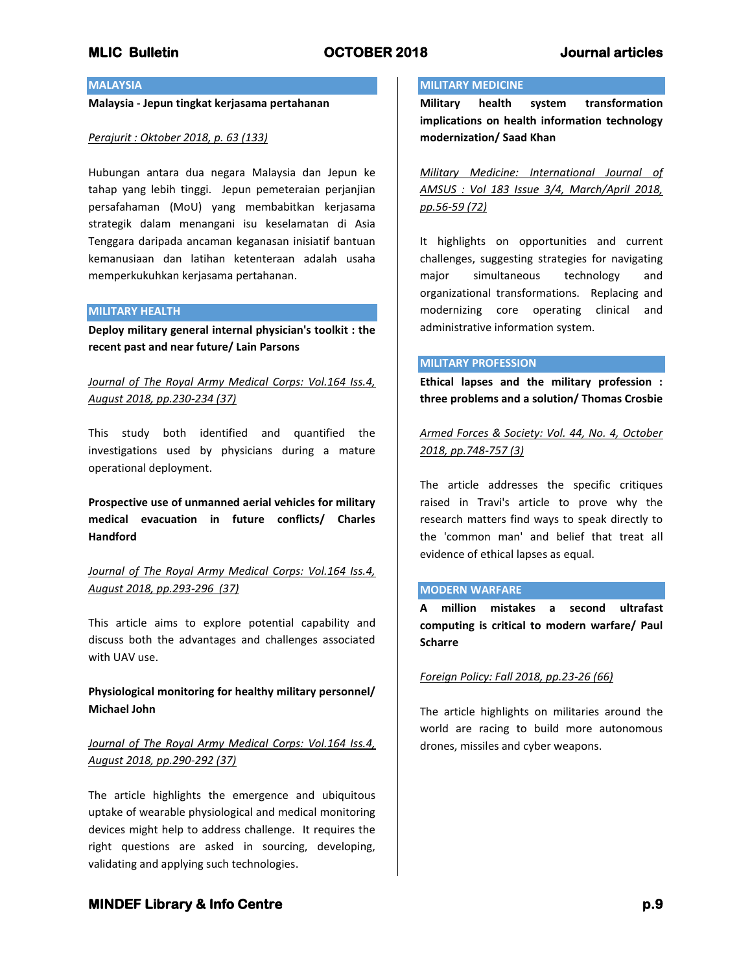## **MALAYSIA**

**Malaysia - Jepun tingkat kerjasama pertahanan**

## *Perajurit : Oktober 2018, p. 63 (133)*

Hubungan antara dua negara Malaysia dan Jepun ke tahap yang lebih tinggi. Jepun pemeteraian perjanjian persafahaman (MoU) yang membabitkan kerjasama strategik dalam menangani isu keselamatan di Asia Tenggara daripada ancaman keganasan inisiatif bantuan kemanusiaan dan latihan ketenteraan adalah usaha memperkukuhkan kerjasama pertahanan.

## **MILITARY HEALTH**

**Deploy military general internal physician's toolkit : the recent past and near future/ Lain Parsons**

# *Journal of The Royal Army Medical Corps: Vol.164 Iss.4, August 2018, pp.230-234 (37)*

This study both identified and quantified the investigations used by physicians during a mature operational deployment.

**Prospective use of unmanned aerial vehicles for military medical evacuation in future conflicts/ Charles Handford**

*Journal of The Royal Army Medical Corps: Vol.164 Iss.4, August 2018, pp.293-296 (37)*

This article aims to explore potential capability and discuss both the advantages and challenges associated with UAV use.

# **Physiological monitoring for healthy military personnel/ Michael John**

# *Journal of The Royal Army Medical Corps: Vol.164 Iss.4, August 2018, pp.290-292 (37)*

The article highlights the emergence and ubiquitous uptake of wearable physiological and medical monitoring devices might help to address challenge. It requires the right questions are asked in sourcing, developing, validating and applying such technologies.

## **MILITARY MEDICINE**

**Military health system transformation implications on health information technology modernization/ Saad Khan**

*Military Medicine: International Journal of AMSUS : Vol 183 Issue 3/4, March/April 2018, pp.56-59 (72)*

It highlights on opportunities and current challenges, suggesting strategies for navigating major simultaneous technology and organizational transformations. Replacing and modernizing core operating clinical and administrative information system.

### **MILITARY PROFESSION**

**Ethical lapses and the military profession : three problems and a solution/ Thomas Crosbie**

*Armed Forces & Society: Vol. 44, No. 4, October 2018, pp.748-757 (3)*

The article addresses the specific critiques raised in Travi's article to prove why the research matters find ways to speak directly to the 'common man' and belief that treat all evidence of ethical lapses as equal.

#### **MODERN WARFARE**

**A million mistakes a second ultrafast computing is critical to modern warfare/ Paul Scharre**

## *Foreign Policy: Fall 2018, pp.23-26 (66)*

The article highlights on militaries around the world are racing to build more autonomous drones, missiles and cyber weapons.

# **MINDEF Library & Info Centre** *p.9* **p.9**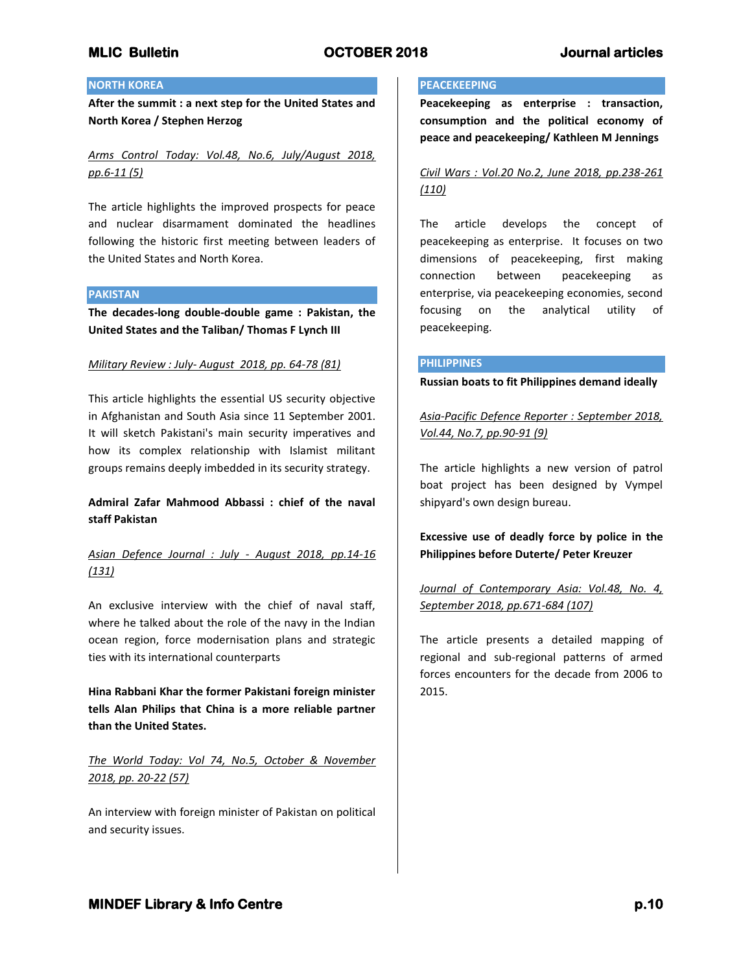## **NORTH KOREA**

**After the summit : a next step for the United States and North Korea / Stephen Herzog**

*Arms Control Today: Vol.48, No.6, July/August 2018, pp.6-11 (5)*

The article highlights the improved prospects for peace and nuclear disarmament dominated the headlines following the historic first meeting between leaders of the United States and North Korea.

### **PAKISTAN**

**The decades-long double-double game : Pakistan, the United States and the Taliban/ Thomas F Lynch III**

## *Military Review : July- August 2018, pp. 64-78 (81)*

This article highlights the essential US security objective in Afghanistan and South Asia since 11 September 2001. It will sketch Pakistani's main security imperatives and how its complex relationship with Islamist militant groups remains deeply imbedded in its security strategy.

# **Admiral Zafar Mahmood Abbassi : chief of the naval staff Pakistan**

# *Asian Defence Journal : July - August 2018, pp.14-16 (131)*

An exclusive interview with the chief of naval staff, where he talked about the role of the navy in the Indian ocean region, force modernisation plans and strategic ties with its international counterparts

**Hina Rabbani Khar the former Pakistani foreign minister tells Alan Philips that China is a more reliable partner than the United States.**

# *The World Today: Vol 74, No.5, October & November 2018, pp. 20-22 (57)*

An interview with foreign minister of Pakistan on political and security issues.

### **PEACEKEEPING**

**Peacekeeping as enterprise : transaction, consumption and the political economy of peace and peacekeeping/ Kathleen M Jennings**

# *Civil Wars : Vol.20 No.2, June 2018, pp.238-261 (110)*

The article develops the concept of peacekeeping as enterprise. It focuses on two dimensions of peacekeeping, first making connection between peacekeeping as enterprise, via peacekeeping economies, second focusing on the analytical utility of peacekeeping.

### **PHILIPPINES**

**Russian boats to fit Philippines demand ideally**

*Asia-Pacific Defence Reporter : September 2018, Vol.44, No.7, pp.90-91 (9)*

The article highlights a new version of patrol boat project has been designed by Vympel shipyard's own design bureau.

**Excessive use of deadly force by police in the Philippines before Duterte/ Peter Kreuzer**

# *Journal of Contemporary Asia: Vol.48, No. 4, September 2018, pp.671-684 (107)*

The article presents a detailed mapping of regional and sub-regional patterns of armed forces encounters for the decade from 2006 to 2015.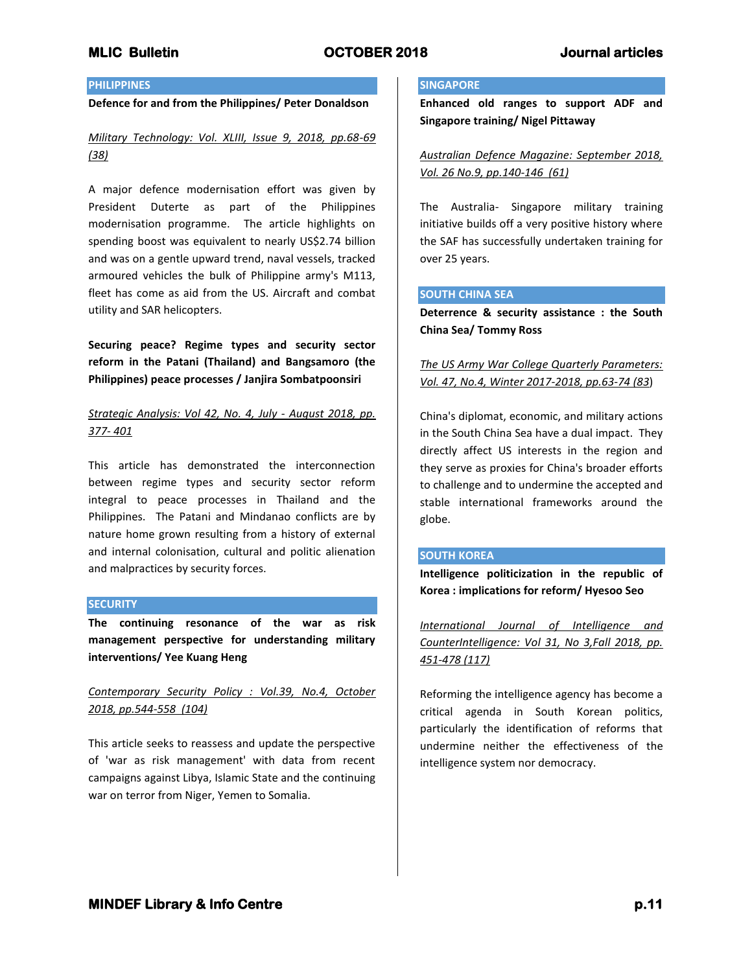## **PHILIPPINES**

## **Defence for and from the Philippines/ Peter Donaldson**

*Military Technology: Vol. XLIII, Issue 9, 2018, pp.68-69 (38)*

A major defence modernisation effort was given by President Duterte as part of the Philippines modernisation programme. The article highlights on spending boost was equivalent to nearly US\$2.74 billion and was on a gentle upward trend, naval vessels, tracked armoured vehicles the bulk of Philippine army's M113, fleet has come as aid from the US. Aircraft and combat utility and SAR helicopters.

**Securing peace? Regime types and security sector reform in the Patani (Thailand) and Bangsamoro (the Philippines) peace processes / Janjira Sombatpoonsiri**

## *Strategic Analysis: Vol 42, No. 4, July - August 2018, pp. 377- 401*

This article has demonstrated the interconnection between regime types and security sector reform integral to peace processes in Thailand and the Philippines. The Patani and Mindanao conflicts are by nature home grown resulting from a history of external and internal colonisation, cultural and politic alienation and malpractices by security forces.

#### **SECURITY**

**The continuing resonance of the war as risk management perspective for understanding military interventions/ Yee Kuang Heng**

*Contemporary Security Policy : Vol.39, No.4, October 2018, pp.544-558 (104)*

This article seeks to reassess and update the perspective of 'war as risk management' with data from recent campaigns against Libya, Islamic State and the continuing war on terror from Niger, Yemen to Somalia.

### **SINGAPORE**

**Enhanced old ranges to support ADF and Singapore training/ Nigel Pittaway**

*Australian Defence Magazine: September 2018, Vol. 26 No.9, pp.140-146 (61)*

The Australia- Singapore military training initiative builds off a very positive history where the SAF has successfully undertaken training for over 25 years.

#### **SOUTH CHINA SEA**

**Deterrence & security assistance : the South China Sea/ Tommy Ross**

*The US Army War College Quarterly Parameters: Vol. 47, No.4, Winter 2017-2018, pp.63-74 (83*)

China's diplomat, economic, and military actions in the South China Sea have a dual impact. They directly affect US interests in the region and they serve as proxies for China's broader efforts to challenge and to undermine the accepted and stable international frameworks around the globe.

## **SOUTH KOREA**

**Intelligence politicization in the republic of Korea : implications for reform/ Hyesoo Seo**

*International Journal of Intelligence and CounterIntelligence: Vol 31, No 3,Fall 2018, pp. 451-478 (117)*

Reforming the intelligence agency has become a critical agenda in South Korean politics, particularly the identification of reforms that undermine neither the effectiveness of the intelligence system nor democracy.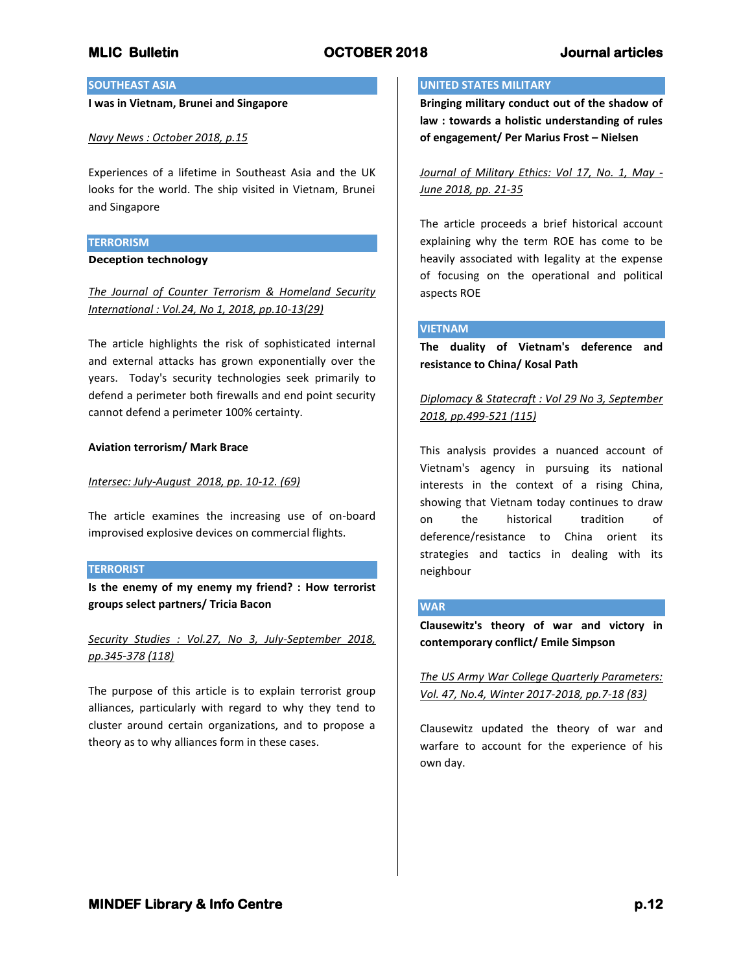## **SOUTHEAST ASIA**

### **I was in Vietnam, Brunei and Singapore**

## *Navy News : October 2018, p.15*

Experiences of a lifetime in Southeast Asia and the UK looks for the world. The ship visited in Vietnam, Brunei and Singapore

### **TERRORISM**

### **Deception technology**

# *The Journal of Counter Terrorism & Homeland Security International : Vol.24, No 1, 2018, pp.10-13(29)*

The article highlights the risk of sophisticated internal and external attacks has grown exponentially over the years. Today's security technologies seek primarily to defend a perimeter both firewalls and end point security cannot defend a perimeter 100% certainty.

## **Aviation terrorism/ Mark Brace**

### *Intersec: July-August 2018, pp. 10-12. (69)*

The article examines the increasing use of on-board improvised explosive devices on commercial flights.

### **TERRORIST**

**Is the enemy of my enemy my friend? : How terrorist groups select partners/ Tricia Bacon**

# *Security Studies : Vol.27, No 3, July-September 2018, pp.345-378 (118)*

The purpose of this article is to explain terrorist group alliances, particularly with regard to why they tend to cluster around certain organizations, and to propose a theory as to why alliances form in these cases.

#### **UNITED STATES MILITARY**

**Bringing military conduct out of the shadow of law : towards a holistic understanding of rules of engagement/ Per Marius Frost – Nielsen**

*Journal of Military Ethics: Vol 17, No. 1, May - June 2018, pp. 21-35*

The article proceeds a brief historical account explaining why the term ROE has come to be heavily associated with legality at the expense of focusing on the operational and political aspects ROE

## **VIETNAM**

**The duality of Vietnam's deference and resistance to China/ Kosal Path**

*Diplomacy & Statecraft : Vol 29 No 3, September 2018, pp.499-521 (115)*

This analysis provides a nuanced account of Vietnam's agency in pursuing its national interests in the context of a rising China, showing that Vietnam today continues to draw on the historical tradition of deference/resistance to China orient its strategies and tactics in dealing with its neighbour

## **WAR**

**Clausewitz's theory of war and victory in contemporary conflict/ Emile Simpson**

*The US Army War College Quarterly Parameters: Vol. 47, No.4, Winter 2017-2018, pp.7-18 (83)*

Clausewitz updated the theory of war and warfare to account for the experience of his own day.